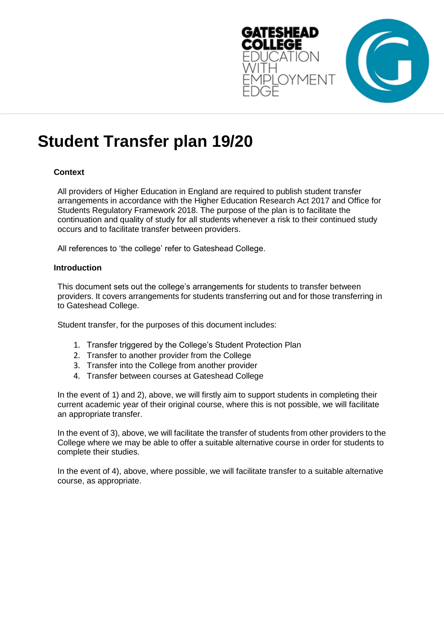

# **Student Transfer plan 19/20**

# **Context**

All providers of Higher Education in England are required to publish student transfer arrangements in accordance with the Higher Education Research Act 2017 and Office for Students Regulatory Framework 2018. The purpose of the plan is to facilitate the continuation and quality of study for all students whenever a risk to their continued study occurs and to facilitate transfer between providers.

All references to 'the college' refer to Gateshead College.

#### **Introduction**

This document sets out the college's arrangements for students to transfer between providers. It covers arrangements for students transferring out and for those transferring in to Gateshead College.

Student transfer, for the purposes of this document includes:

- 1. Transfer triggered by the College's Student Protection Plan
- 2. Transfer to another provider from the College
- 3. Transfer into the College from another provider
- 4. Transfer between courses at Gateshead College

In the event of 1) and 2), above, we will firstly aim to support students in completing their current academic year of their original course, where this is not possible, we will facilitate an appropriate transfer.

In the event of 3), above, we will facilitate the transfer of students from other providers to the College where we may be able to offer a suitable alternative course in order for students to complete their studies.

In the event of 4), above, where possible, we will facilitate transfer to a suitable alternative course, as appropriate.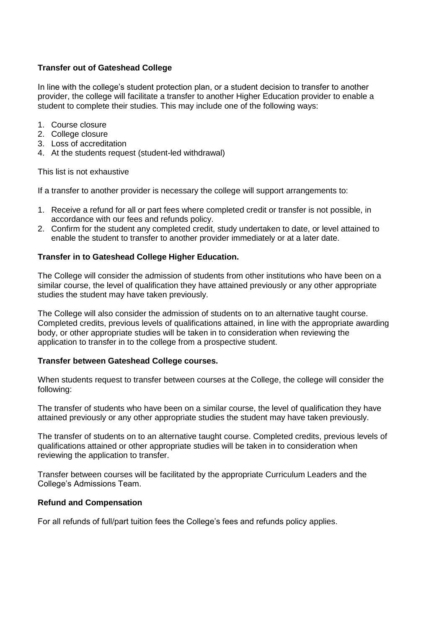# **Transfer out of Gateshead College**

In line with the college's student protection plan, or a student decision to transfer to another provider, the college will facilitate a transfer to another Higher Education provider to enable a student to complete their studies. This may include one of the following ways:

- 1. Course closure
- 2. College closure
- 3. Loss of accreditation
- 4. At the students request (student-led withdrawal)

This list is not exhaustive

If a transfer to another provider is necessary the college will support arrangements to:

- 1. Receive a refund for all or part fees where completed credit or transfer is not possible, in accordance with our fees and refunds policy.
- 2. Confirm for the student any completed credit, study undertaken to date, or level attained to enable the student to transfer to another provider immediately or at a later date.

## **Transfer in to Gateshead College Higher Education.**

The College will consider the admission of students from other institutions who have been on a similar course, the level of qualification they have attained previously or any other appropriate studies the student may have taken previously.

The College will also consider the admission of students on to an alternative taught course. Completed credits, previous levels of qualifications attained, in line with the appropriate awarding body, or other appropriate studies will be taken in to consideration when reviewing the application to transfer in to the college from a prospective student.

#### **Transfer between Gateshead College courses.**

When students request to transfer between courses at the College, the college will consider the following:

The transfer of students who have been on a similar course, the level of qualification they have attained previously or any other appropriate studies the student may have taken previously.

The transfer of students on to an alternative taught course. Completed credits, previous levels of qualifications attained or other appropriate studies will be taken in to consideration when reviewing the application to transfer.

Transfer between courses will be facilitated by the appropriate Curriculum Leaders and the College's Admissions Team.

#### **Refund and Compensation**

For all refunds of full/part tuition fees the College's fees and refunds policy applies.